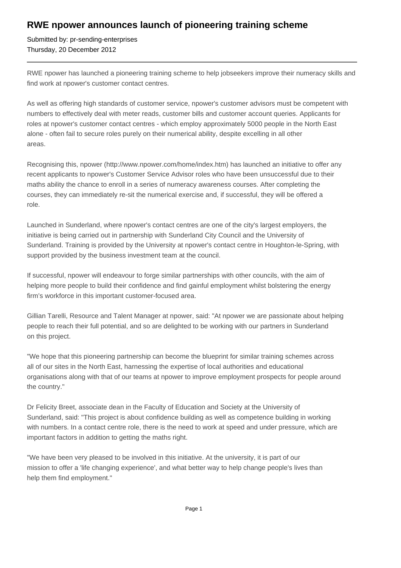## **RWE npower announces launch of pioneering training scheme**

Submitted by: pr-sending-enterprises Thursday, 20 December 2012

RWE npower has launched a pioneering training scheme to help jobseekers improve their numeracy skills and find work at npower's customer contact centres.

As well as offering high standards of customer service, npower's customer advisors must be competent with numbers to effectively deal with meter reads, customer bills and customer account queries. Applicants for roles at npower's customer contact centres - which employ approximately 5000 people in the North East alone - often fail to secure roles purely on their numerical ability, despite excelling in all other areas.

Recognising this, npower (http://www.npower.com/home/index.htm) has launched an initiative to offer any recent applicants to npower's Customer Service Advisor roles who have been unsuccessful due to their maths ability the chance to enroll in a series of numeracy awareness courses. After completing the courses, they can immediately re-sit the numerical exercise and, if successful, they will be offered a role.

Launched in Sunderland, where npower's contact centres are one of the city's largest employers, the initiative is being carried out in partnership with Sunderland City Council and the University of Sunderland. Training is provided by the University at npower's contact centre in Houghton-le-Spring, with support provided by the business investment team at the council.

If successful, npower will endeavour to forge similar partnerships with other councils, with the aim of helping more people to build their confidence and find gainful employment whilst bolstering the energy firm's workforce in this important customer-focused area.

Gillian Tarelli, Resource and Talent Manager at npower, said: "At npower we are passionate about helping people to reach their full potential, and so are delighted to be working with our partners in Sunderland on this project.

"We hope that this pioneering partnership can become the blueprint for similar training schemes across all of our sites in the North East, harnessing the expertise of local authorities and educational organisations along with that of our teams at npower to improve employment prospects for people around the country."

Dr Felicity Breet, associate dean in the Faculty of Education and Society at the University of Sunderland, said: "This project is about confidence building as well as competence building in working with numbers. In a contact centre role, there is the need to work at speed and under pressure, which are important factors in addition to getting the maths right.

"We have been very pleased to be involved in this initiative. At the university, it is part of our mission to offer a 'life changing experience', and what better way to help change people's lives than help them find employment."